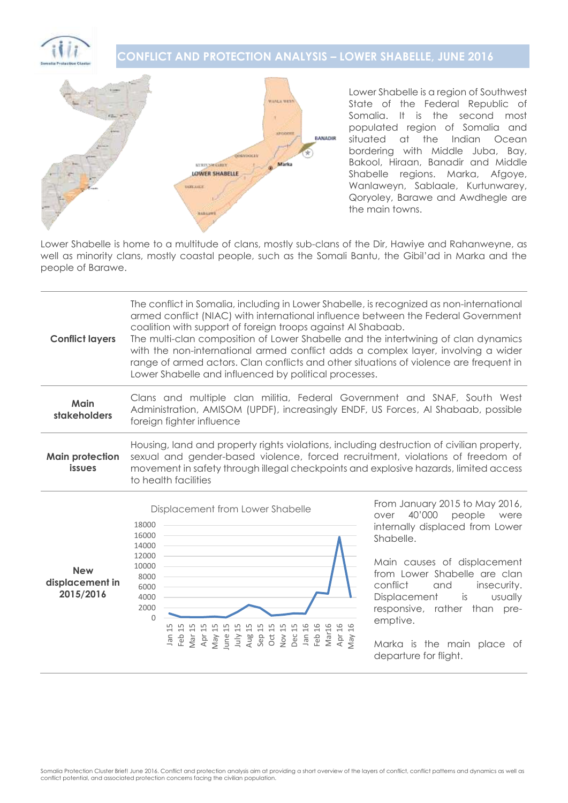# **CONFLICT AND PROTECTION ANALYSIS – LOWER SHABELLE, JUNE 2016**



Lower Shabelle is a region of Southwest State of the Federal Republic of Somalia. It is the second most populated region of Somalia and situated at the Indian Ocean bordering with Middle Juba, Bay, Bakool, Hiraan, Banadir and Middle Shabelle regions. Marka, Afgove, Wanlaweyn, Sablaale, Kurtunwarey, Qoryoley, Barawe and Awdhegle are the main towns.

Lower Shabelle is home to a multitude of clans, mostly sub-clans of the Dir, Hawiye and Rahanweyne, as well as minority clans, mostly coastal people, such as the Somali Bantu, the Gibil'ad in Marka and the people of Barawe.

| <b>Conflict layers</b>                  | The conflict in Somalia, including in Lower Shabelle, is recognized as non-international<br>armed conflict (NIAC) with international influence between the Federal Government<br>coalition with support of foreign troops against Al Shabaab.<br>The multi-clan composition of Lower Shabelle and the intertwining of clan dynamics<br>with the non-international armed conflict adds a complex layer, involving a wider<br>range of armed actors. Clan conflicts and other situations of violence are frequent in<br>Lower Shabelle and influenced by political processes. |                                                            |
|-----------------------------------------|-----------------------------------------------------------------------------------------------------------------------------------------------------------------------------------------------------------------------------------------------------------------------------------------------------------------------------------------------------------------------------------------------------------------------------------------------------------------------------------------------------------------------------------------------------------------------------|------------------------------------------------------------|
| Main<br>stakeholders                    | Clans and multiple clan militia, Federal Government and SNAF, South West<br>Administration, AMISOM (UPDF), increasingly ENDF, US Forces, AI Shabaab, possible<br>foreign fighter influence                                                                                                                                                                                                                                                                                                                                                                                  |                                                            |
| <b>Main protection</b><br><i>issues</i> | Housing, land and property rights violations, including destruction of civilian property,<br>sexual and gender-based violence, forced recruitment, violations of freedom of<br>movement in safety through illegal checkpoints and explosive hazards, limited access<br>to health facilities                                                                                                                                                                                                                                                                                 |                                                            |
|                                         | Displacement from Lower Shabelle                                                                                                                                                                                                                                                                                                                                                                                                                                                                                                                                            | From January 2015 to May 2016,<br>$101000$ $\qquad \qquad$ |



over 40'000 people were internally displaced from Lower Shabelle.

Main causes of displacement from Lower Shabelle are clan conflict and insecurity. Displacement is usually responsive, rather than preemptive.

Marka is the main place of departure for flight.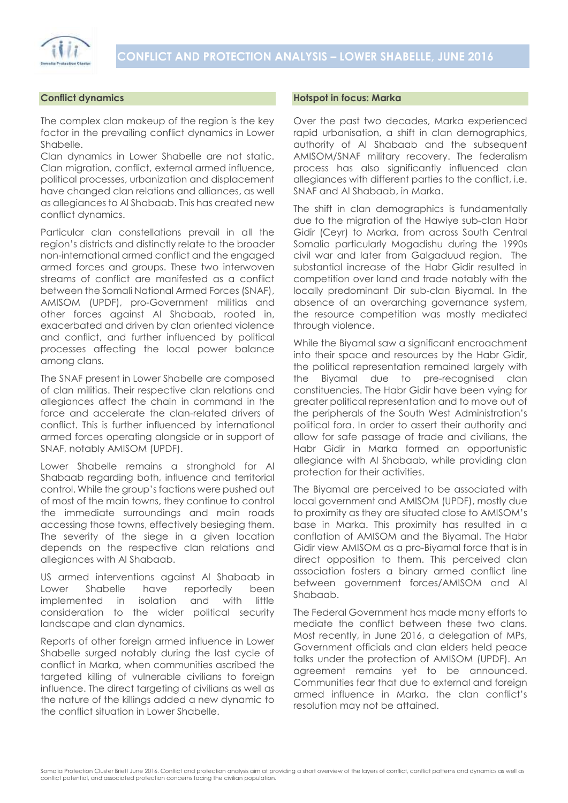

# **Conflict dynamics**

The complex clan makeup of the region is the key factor in the prevailing conflict dynamics in Lower Shabelle.

Clan dynamics in Lower Shabelle are not static. Clan migration, conflict, external armed influence, political processes, urbanization and displacement have changed clan relations and alliances, as well as allegiances to Al Shabaab. This has created new conflict dynamics.

Particular clan constellations prevail in all the region's districts and distinctly relate to the broader non-international armed conflict and the engaged armed forces and groups. These two interwoven streams of conflict are manifested as a conflict between the Somali National Armed Forces (SNAF), AMISOM (UPDF), pro-Government militias and other forces against Al Shabaab, rooted in, exacerbated and driven by clan oriented violence and conflict, and further influenced by political processes affecting the local power balance among clans.

The SNAF present in Lower Shabelle are composed of clan militias. Their respective clan relations and allegiances affect the chain in command in the force and accelerate the clan-related drivers of conflict. This is further influenced by international armed forces operating alongside or in support of SNAF, notably AMISOM (UPDF).

Lower Shabelle remains a stronghold for Al Shabaab regarding both, influence and territorial control. While the group's factions were pushed out of most of the main towns, they continue to control the immediate surroundings and main roads accessing those towns, effectively besieging them. The severity of the siege in a given location depends on the respective clan relations and allegiances with Al Shabaab.

US armed interventions against Al Shabaab in Lower Shabelle have reportedly been implemented in isolation and with little consideration to the wider political security landscape and clan dynamics.

Reports of other foreign armed influence in Lower Shabelle surged notably during the last cycle of conflict in Marka, when communities ascribed the targeted killing of vulnerable civilians to foreign influence. The direct targeting of civilians as well as the nature of the killings added a new dynamic to the conflict situation in Lower Shabelle.

### **Hotspot in focus: Marka**

Over the past two decades, Marka experienced rapid urbanisation, a shift in clan demographics, authority of Al Shabaab and the subsequent AMISOM/SNAF military recovery. The federalism process has also significantly influenced clan allegiances with different parties to the conflict, i.e. SNAF and Al Shabaab, in Marka.

The shift in clan demographics is fundamentally due to the migration of the Hawiye sub-clan Habr Gidir (Ceyr) to Marka, from across South Central Somalia particularly Mogadishu during the 1990s civil war and later from Galgaduud region. The substantial increase of the Habr Gidir resulted in competition over land and trade notably with the locally predominant Dir sub-clan Biyamal. In the absence of an overarching governance system, the resource competition was mostly mediated through violence.

While the Biyamal saw a significant encroachment into their space and resources by the Habr Gidir, the political representation remained largely with the Biyamal due to pre-recognised clan constituencies. The Habr Gidir have been vying for greater political representation and to move out of the peripherals of the South West Administration's political fora. In order to assert their authority and allow for safe passage of trade and civilians, the Habr Gidir in Marka formed an opportunistic allegiance with Al Shabaab, while providing clan protection for their activities.

The Biyamal are perceived to be associated with local government and AMISOM (UPDF), mostly due to proximity as they are situated close to AMISOM's base in Marka. This proximity has resulted in a conflation of AMISOM and the Biyamal. The Habr Gidir view AMISOM as a pro-Biyamal force that is in direct opposition to them. This perceived clan association fosters a binary armed conflict line between government forces/AMISOM and Al Shabaab.

The Federal Government has made many efforts to mediate the conflict between these two clans. Most recently, in June 2016, a delegation of MPs, Government officials and clan elders held peace talks under the protection of AMISOM (UPDF). An agreement remains yet to be announced. Communities fear that due to external and foreign armed influence in Marka, the clan conflict's resolution may not be attained.